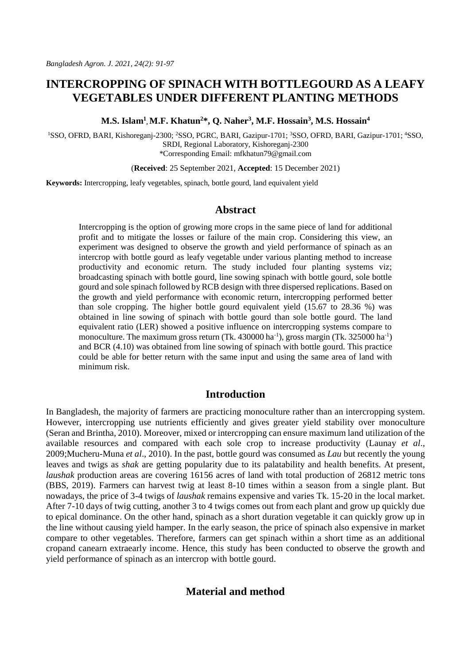# **INTERCROPPING OF SPINACH WITH BOTTLEGOURD AS A LEAFY VEGETABLES UNDER DIFFERENT PLANTING METHODS**

**M.S. Islam<sup>1</sup> , M.F. Khatun<sup>2</sup>\*, Q. Naher<sup>3</sup> , M.F. Hossain<sup>3</sup> , M.S. Hossain<sup>4</sup>**

<sup>1</sup>SSO, OFRD, BARI, Kishoreganj-2300; <sup>2</sup>SSO, PGRC, BARI, Gazipur-1701; <sup>3</sup>SSO, OFRD, BARI, Gazipur-1701; <sup>4</sup>SSO, SRDI, Regional Laboratory, Kishoreganj-2300 \*Corresponding Email[: mfkhatun79@gmail.com](mailto:mfkhatun79@gmail.com)

(**Received**: 25 September 2021, **Accepted**: 15 December 2021)

**Keywords:** Intercropping, leafy vegetables, spinach, bottle gourd, land equivalent yield

### **Abstract**

Intercropping is the option of growing more crops in the same piece of land for additional profit and to mitigate the losses or failure of the main crop. Considering this view, an experiment was designed to observe the growth and yield performance of spinach as an intercrop with bottle gourd as leafy vegetable under various planting method to increase productivity and economic return. The study included four planting systems viz; broadcasting spinach with bottle gourd, line sowing spinach with bottle gourd, sole bottle gourd and sole spinach followed by RCB design with three dispersed replications. Based on the growth and yield performance with economic return, intercropping performed better than sole cropping. The higher bottle gourd equivalent yield (15.67 to 28.36 %) was obtained in line sowing of spinach with bottle gourd than sole bottle gourd. The land equivalent ratio (LER) showed a positive influence on intercropping systems compare to monoculture. The maximum gross return (Tk. 430000 ha<sup>-1</sup>), gross margin (Tk. 325000 ha<sup>-1</sup>) and BCR (4.10) was obtained from line sowing of spinach with bottle gourd. This practice could be able for better return with the same input and using the same area of land with minimum risk.

# **Introduction**

In Bangladesh, the majority of farmers are practicing monoculture rather than an intercropping system. However, intercropping use nutrients efficiently and gives greater yield stability over monoculture (Seran and Brintha, 2010). Moreover, mixed or intercropping can ensure maximum land utilization of the available resources and compared with each sole crop to increase productivity (Launay *et al*., 2009;Mucheru-Muna *et al*., 2010). In the past, bottle gourd was consumed as *Lau* but recently the young leaves and twigs as *shak* are getting popularity due to its palatability and health benefits. At present, *laushak* production areas are covering 16156 acres of land with total production of 26812 metric tons (BBS, 2019). Farmers can harvest twig at least 8-10 times within a season from a single plant. But nowadays, the price of 3-4 twigs of *laushak* remains expensive and varies Tk. 15-20 in the local market. After 7-10 days of twig cutting, another 3 to 4 twigs comes out from each plant and grow up quickly due to epical dominance. On the other hand, spinach as a short duration vegetable it can quickly grow up in the line without causing yield hamper. In the early season, the price of spinach also expensive in market compare to other vegetables. Therefore, farmers can get spinach within a short time as an additional cropand canearn extraearly income. Hence, this study has been conducted to observe the growth and yield performance of spinach as an intercrop with bottle gourd.

# **Material and method**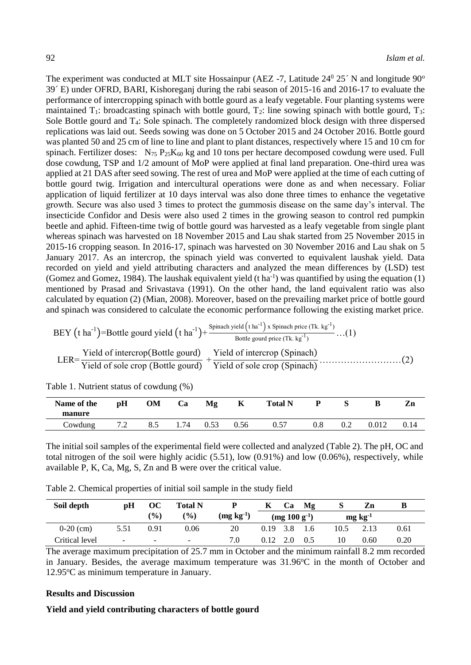The experiment was conducted at MLT site Hossainpur (AEZ -7, Latitude  $24^{\circ}$   $25^{\circ}$  N and longitude  $90^{\circ}$ 39´ E) under OFRD, BARI, Kishoreganj during the rabi season of 2015-16 and 2016-17 to evaluate the performance of intercropping spinach with bottle gourd as a leafy vegetable. Four planting systems were maintained  $T_1$ : broadcasting spinach with bottle gourd,  $T_2$ : line sowing spinach with bottle gourd,  $T_3$ : Sole Bottle gourd and T4: Sole spinach. The completely randomized block design with three dispersed replications was laid out. Seeds sowing was done on 5 October 2015 and 24 October 2016. Bottle gourd was planted 50 and 25 cm of line to line and plant to plant distances, respectively where 15 and 10 cm for spinach. Fertilizer doses:  $N_{75} P_{25}K_{60}$  kg and 10 tons per hectare decomposed cowdung were used. Full dose cowdung, TSP and 1/2 amount of MoP were applied at final land preparation. One-third urea was applied at 21 DAS after seed sowing. The rest of urea and MoP were applied at the time of each cutting of bottle gourd twig. Irrigation and intercultural operations were done as and when necessary. Foliar application of liquid fertilizer at 10 days interval was also done three times to enhance the vegetative growth. Secure was also used 3 times to protect the gummosis disease on the same day's interval. The insecticide Confidor and Desis were also used 2 times in the growing season to control red pumpkin beetle and aphid. Fifteen-time twig of bottle gourd was harvested as a leafy vegetable from single plant whereas spinach was harvested on 18 November 2015 and Lau shak started from 25 November 2015 in 2015-16 cropping season. In 2016-17, spinach was harvested on 30 November 2016 and Lau shak on 5 January 2017. As an intercrop, the spinach yield was converted to equivalent laushak yield. Data recorded on yield and yield attributing characters and analyzed the mean differences by (LSD) test (Gomez and Gomez, 1984). The laushak equivalent yield  $(t \, ha^{-1})$  was quantified by using the equation (1) mentioned by Prasad and Srivastava (1991). On the other hand, the land equivalent ratio was also calculated by equation (2) (Mian, 2008). Moreover, based on the prevailing market price of bottle gourd and spinach was considered to calculate the economic performance following the existing market price.

$$
BEY \text{ (t ha}^{-1}) = Bottle \text{ gourd yield } (t ha^{-1}) + \frac{\text{Spinach yield } (t ha^{-1}) \times \text{Spinach price (Tk. kg}^{-1})}{\text{Bottle gourd price (Tk. kg}^{-1})} \dots (1)
$$
\n
$$
LER = \frac{\text{Yield of } \text{intercrop} \text{ (Bottle gourd)}}{\text{Yield of sole crop (Bottle gourd)}} + \frac{\text{Yield of } \text{intercrop (Spinach)}}{\text{Yield of sole crop (Spinach)}} \dots \dots (2)
$$

| Name of the<br>manure | рH  | OM  | Ca   | Mg   | ĸ    | <b>Total N</b> |     |     | В     | Zn   |
|-----------------------|-----|-----|------|------|------|----------------|-----|-----|-------|------|
| Cowdung               | 7.2 | 8.5 | 1.74 | 0.53 | 0.56 | 0.57           | 0.8 | 0.2 | 0.012 | 0.14 |

Table 1. Nutrient status of cowdung (%)

The initial soil samples of the experimental field were collected and analyzed (Table 2). The pH, OC and total nitrogen of the soil were highly acidic  $(5.51)$ , low  $(0.91\%)$  and low  $(0.06\%)$ , respectively, while available P, K, Ca, Mg, S, Zn and B were over the critical value.

Table 2. Chemical properties of initial soil sample in the study field

| Soil depth     | pН                       | $\bf OC$                 | <b>Total N</b>           |             | K          | Ca                    | Mg  | C    | Zn              |      |
|----------------|--------------------------|--------------------------|--------------------------|-------------|------------|-----------------------|-----|------|-----------------|------|
|                |                          | $\frac{9}{0}$            | $\frac{9}{0}$            | $(mg kg-1)$ |            | $\rm (mg 100 g^{-1})$ |     |      | $mg \, kg^{-1}$ |      |
| $0-20$ (cm)    | 5.51                     | 0.91                     | 0.06                     | 20          | $0.19$ 3.8 |                       | 1.6 | 10.5 | 2.13            | 0.61 |
| Critical level | $\overline{\phantom{0}}$ | $\overline{\phantom{0}}$ | $\overline{\phantom{0}}$ | 7.0         | 0.12       | -2.0                  | 0.5 | 10   | 0.60            | 0.20 |

The average maximum precipitation of 25.7 mm in October and the minimum rainfall 8.2 mm recorded in January. Besides, the average maximum temperature was 31.96°C in the month of October and 12.95°C as minimum temperature in January.

#### **Results and Discussion**

#### **Yield and yield contributing characters of bottle gourd**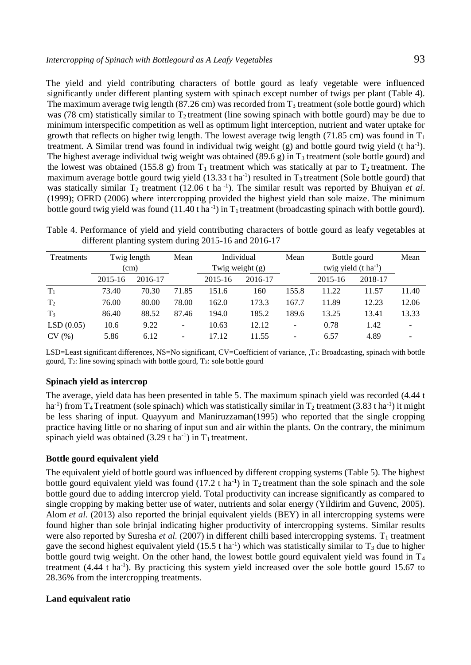The yield and yield contributing characters of bottle gourd as leafy vegetable were influenced significantly under different planting system with spinach except number of twigs per plant (Table 4). The maximum average twig length (87.26 cm) was recorded from  $T_3$  treatment (sole bottle gourd) which was (78 cm) statistically similar to  $T_2$  treatment (line sowing spinach with bottle gourd) may be due to minimum interspecific competition as well as optimum light interception, nutrient and water uptake for growth that reflects on higher twig length. The lowest average twig length (71.85 cm) was found in  $T_1$ treatment. A Similar trend was found in individual twig weight  $(g)$  and bottle gourd twig yield  $(t \, ha^{-1})$ . The highest average individual twig weight was obtained (89.6 g) in  $T_3$  treatment (sole bottle gourd) and the lowest was obtained (155.8 g) from  $T_1$  treatment which was statically at par to  $T_2$  treatment. The maximum average bottle gourd twig yield  $(13.33 \text{ t} \text{ ha}^{-1})$  resulted in T<sub>3</sub> treatment (Sole bottle gourd) that was statically similar  $T_2$  treatment (12.06 t ha<sup>-1</sup>). The similar result was reported by Bhuiyan *et al*. (1999); OFRD (2006) where intercropping provided the highest yield than sole maize. The minimum bottle gourd twig yield was found (11.40 t ha<sup>-1</sup>) in  $T_1$  treatment (broadcasting spinach with bottle gourd).

Table 4. Performance of yield and yield contributing characters of bottle gourd as leafy vegetables at different planting system during 2015-16 and 2016-17

| Treatments     | Twig length<br>(cm) |         | Mean  |         | Individual<br>Twig weight $(g)$ |       | Bottle gourd<br>twig yield $(t \, ha^{-1})$ |         | Mean  |
|----------------|---------------------|---------|-------|---------|---------------------------------|-------|---------------------------------------------|---------|-------|
|                | 2015-16             | 2016-17 |       | 2015-16 | 2016-17                         |       | 2015-16                                     | 2018-17 |       |
| $T_1$          | 73.40               | 70.30   | 71.85 | 151.6   | 160                             | 155.8 | 11.22                                       | 11.57   | 11.40 |
| T <sub>2</sub> | 76.00               | 80.00   | 78.00 | 162.0   | 173.3                           | 167.7 | 11.89                                       | 12.23   | 12.06 |
| T <sub>3</sub> | 86.40               | 88.52   | 87.46 | 194.0   | 185.2                           | 189.6 | 13.25                                       | 13.41   | 13.33 |
| LSD(0.05)      | 10.6                | 9.22    | ۰     | 10.63   | 12.12                           | ۰     | 0.78                                        | 1.42    |       |
| CV(%)          | 5.86                | 6.12    |       | 17.12   | 11.55                           |       | 6.57                                        | 4.89    |       |

LSD=Least significant differences, NS=No significant, CV=Coefficient of variance, ,T<sub>1</sub>: Broadcasting, spinach with bottle gourd, T2: line sowing spinach with bottle gourd, T3: sole bottle gourd

## **Spinach yield as intercrop**

The average, yield data has been presented in table 5. The maximum spinach yield was recorded (4.44 t ha<sup>-1</sup>) from T<sub>4</sub> Treatment (sole spinach) which was statistically similar in T<sub>2</sub> treatment (3.83 t ha<sup>-1</sup>) it might be less sharing of input. Quayyum and Maniruzzaman(1995) who reported that the single cropping practice having little or no sharing of input sun and air within the plants. On the contrary, the minimum spinach yield was obtained  $(3.29 \text{ t ha}^{-1})$  in T<sub>1</sub> treatment.

#### **Bottle gourd equivalent yield**

The equivalent yield of bottle gourd was influenced by different cropping systems (Table 5). The highest bottle gourd equivalent yield was found  $(17.2 \text{ t ha}^{-1})$  in  $T_2$  treatment than the sole spinach and the sole bottle gourd due to adding intercrop yield. Total productivity can increase significantly as compared to single cropping by making better use of water, nutrients and solar energy (Yildirim and Guvenc, 2005). Alom *et al*. (2013) also reported the brinjal equivalent yields (BEY) in all intercropping systems were found higher than sole brinjal indicating higher productivity of intercropping systems. Similar results were also reported by Suresha *et al.* (2007) in different chilli based intercropping systems. T<sub>1</sub> treatment gave the second highest equivalent yield  $(15.5 \text{ tha}^{-1})$  which was statistically similar to  $T_3$  due to higher bottle gourd twig weight. On the other hand, the lowest bottle gourd equivalent yield was found in  $T_4$ treatment  $(4.44 \text{ t} \text{ ha}^{-1})$ . By practicing this system yield increased over the sole bottle gourd 15.67 to 28.36% from the intercropping treatments.

#### **Land equivalent ratio**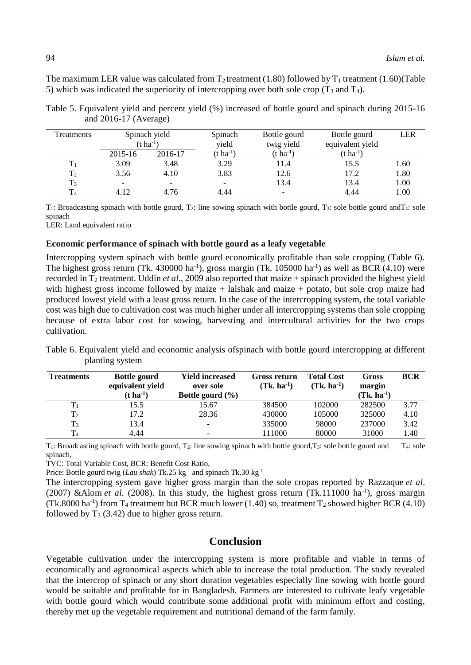The maximum LER value was calculated from  $T_2$  treatment (1.80) followed by  $T_1$  treatment (1.60)(Table 5) which was indicated the superiority of intercropping over both sole crop  $(T_3 \text{ and } T_4)$ .

| Treatments     | Spinach yield<br>$(t \, ha^{-1})$ |                          | Spinach<br>vield      | Bottle gourd<br>twig yield | Bottle gourd<br>equivalent yield | LER  |
|----------------|-----------------------------------|--------------------------|-----------------------|----------------------------|----------------------------------|------|
|                | 2015-16                           | 2016-17                  | (t ha <sup>-1</sup> ) | $(t \text{ ha}^{-1})$      | $(t \text{ ha}^{-1})$            |      |
|                | 3.09                              | 3.48                     | 3.29                  | 11.4                       | 15.5                             | 1.60 |
| T <sub>2</sub> | 3.56                              | 4.10                     | 3.83                  | 12.6                       | 17.2                             | 1.80 |
| $T_3$          | $\overline{\phantom{0}}$          | $\overline{\phantom{0}}$ |                       | 13.4                       | 13.4                             | 1.00 |
| T <sub>4</sub> | 4.12                              | 4.76                     | 4.44                  |                            | 4.44                             | 1.00 |

Table 5. Equivalent yield and percent yield (%) increased of bottle gourd and spinach during 2015-16 and 2016-17 (Average)

 $T_1$ : Broadcasting spinach with bottle gourd,  $T_2$ : line sowing spinach with bottle gourd,  $T_3$ : sole bottle gourd and  $T_4$ : sole spinach

LER: Land equivalent ratio

#### **Economic performance of spinach with bottle gourd as a leafy vegetable**

Intercropping system spinach with bottle gourd economically profitable than sole cropping (Table 6). The highest gross return (Tk. 430000 ha<sup>-1</sup>), gross margin (Tk. 105000 ha<sup>-1</sup>) as well as BCR (4.10) were recorded in  $T_2$  treatment. Uddin *et al.*, 2009 also reported that maize + spinach provided the highest yield with highest gross income followed by maize + lalshak and maize + potato, but sole crop maize had produced lowest yield with a least gross return. In the case of the intercropping system, the total variable cost was high due to cultivation cost was much higher under all intercropping systems than sole cropping because of extra labor cost for sowing, harvesting and intercultural activities for the two crops cultivation.

Table 6. Equivalent yield and economic analysis ofspinach with bottle gourd intercropping at different planting system

| <b>Treatments</b> | <b>Bottle gourd</b><br>equivalent yield<br>$(t \, ha^{-1})$ | <b>Yield increased</b><br>over sole<br>Bottle gourd $(\% )$ | Gross return<br>$(Tk, ha^{-1})$ | <b>Total Cost</b><br>$(Tk. ha-1)$ | Gross<br>margin<br>$(Tk, ha^{-1})$ | <b>BCR</b> |
|-------------------|-------------------------------------------------------------|-------------------------------------------------------------|---------------------------------|-----------------------------------|------------------------------------|------------|
| Tı                | 15.5                                                        | 15.67                                                       | 384500                          | 102000                            | 282500                             | 3.77       |
| T <sub>2</sub>    | 17.2                                                        | 28.36                                                       | 430000                          | 105000                            | 325000                             | 4.10       |
| $T_3$             | 13.4                                                        |                                                             | 335000                          | 98000                             | 237000                             | 3.42       |
| $\rm T_4$         | 4.44                                                        |                                                             | 111000                          | 80000                             | 31000                              | 1.40       |

 $T_1$ : Broadcasting spinach with bottle gourd,  $T_2$ : line sowing spinach with bottle gourd,  $T_3$ : sole bottle gourd and  $T_4$ : sole spinach,

TVC: Total Variable Cost, BCR: Benefit Cost Ratio,

Price: Bottle gourd twig (*Lau shak*) Tk.25 kg<sup>-1</sup> and spinach Tk.30 kg<sup>-1</sup>

The intercropping system gave higher gross margin than the sole cropas reported by Razzaque *et al*.  $(2007)$  & Alom *et al.* (2008). In this study, the highest gross return (Tk.111000 ha<sup>-1</sup>), gross margin (Tk.8000 ha<sup>-1</sup>) from T<sub>4</sub> treatment but BCR much lower (1.40) so, treatment T<sub>2</sub> showed higher BCR (4.10) followed by  $T_3$  (3.42) due to higher gross return.

# **Conclusion**

Vegetable cultivation under the intercropping system is more profitable and viable in terms of economically and agronomical aspects which able to increase the total production. The study revealed that the intercrop of spinach or any short duration vegetables especially line sowing with bottle gourd would be suitable and profitable for in Bangladesh. Farmers are interested to cultivate leafy vegetable with bottle gourd which would contribute some additional profit with minimum effort and costing, thereby met up the vegetable requirement and nutritional demand of the farm family.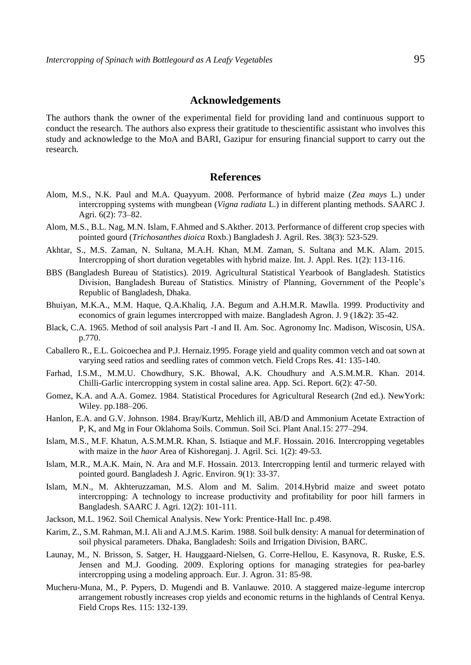# **Acknowledgements**

The authors thank the owner of the experimental field for providing land and continuous support to conduct the research. The authors also express their gratitude to thescientific assistant who involves this study and acknowledge to the MoA and BARI, Gazipur for ensuring financial support to carry out the research.

#### **References**

- Alom, M.S., N.K. Paul and M.A. Quayyum. 2008. Performance of hybrid maize (*Zea mays* L.) under intercropping systems with mungbean (*Vigna radiata* L.) in different planting methods. SAARC J. Agri. 6(2): 73–82.
- Alom, M.S., B.L. Nag, M.N. Islam, F.Ahmed and S.Akther. 2013. Performance of different crop species with pointed gourd (*Trichosanthes dioica* Roxb.) Bangladesh J. Agril. Res. 38(3): 523-529.
- Akhtar, S., M.S. Zaman, N. Sultana, M.A.H. Khan, M.M. Zaman, S. Sultana and M.K. Alam. 2015. Intercropping of short duration vegetables with hybrid maize. Int. J. Appl. Res. 1(2): 113-116.
- BBS (Bangladesh Bureau of Statistics). 2019. Agricultural Statistical Yearbook of Bangladesh. Statistics Division, Bangladesh Bureau of Statistics. Ministry of Planning, Government of the People's Republic of Bangladesh, Dhaka.
- Bhuiyan, M.K.A., M.M. Haque, Q.A.Khaliq, J.A. Begum and A.H.M.R. Mawlla. 1999. Productivity and economics of grain legumes intercropped with maize. Bangladesh Agron. J. 9 (1&2): 35-42.
- Black, C.A. 1965. Method of soil analysis Part -I and II. Am. Soc. Agronomy Inc. Madison, Wiscosin, USA. p.770.
- Caballero R., E.L. Goicoechea and P.J. Hernaiz.1995. Forage yield and quality common vetch and oat sown at varying seed ratios and seedling rates of common vetch. Field Crops Res. 41: 135-140.
- Farhad, I.S.M., M.M.U. Chowdhury, S.K. Bhowal, A.K. Choudhury and A.S.M.M.R. Khan. 2014. Chilli-Garlic intercropping system in costal saline area. App. Sci. Report. 6(2): 47-50.
- Gomez, K.A. and A.A. Gomez. 1984. Statistical Procedures for Agricultural Research (2nd ed.). NewYork: Wiley. pp.188–206.
- Hanlon, E.A. and G.V. Johnson. 1984. Bray/Kurtz, Mehlich ill, AB/D and Ammonium Acetate Extraction of P, K, and Mg in Four Oklahoma Soils. Commun. Soil Sci. Plant Anal.15: 277–294.
- Islam, M.S., M.F. Khatun, A.S.M.M.R. Khan, S. Istiaque and M.F. Hossain. 2016. Intercropping vegetables with maize in the *haor* Area of Kishoreganj. J. Agril. Sci. 1(2): 49-53.
- Islam, M.R., M.A.K. Main, N. Ara and M.F. Hossain. 2013. Intercropping lentil and turmeric relayed with pointed gourd. Bangladesh J. Agric. Environ. 9(1): 33-37.
- Islam, M.N., M. Akhteruzzaman, M.S. Alom and M. Salim. 2014.Hybrid maize and sweet potato intercropping: A technology to increase productivity and profitability for poor hill farmers in Bangladesh. SAARC J. Agri. 12(2): 101-111.
- Jackson, M.L. 1962. Soil Chemical Analysis. New York: Prentice-Hall Inc. p.498.
- Karim, Z., S.M. Rahman, M.I. Ali and A.J.M.S. Karim. 1988. Soil bulk density: A manual for determination of soil physical parameters. Dhaka, Bangladesh: Soils and Irrigation Division, BARC.
- Launay, M., N. Brisson, S. Satger, H. Hauggaard-Nielsen, G. Corre-Hellou, E. Kasynova, R. Ruske, E.S. Jensen and M.J. Gooding. 2009. Exploring options for managing strategies for pea-barley intercropping using a modeling approach. Eur. J. Agron. 31: 85-98.
- Mucheru-Muna, M., P. Pypers, D. Mugendi and B. Vanlauwe. 2010. A staggered maize-legume intercrop arrangement robustly increases crop yields and economic returns in the highlands of Central Kenya. Field Crops Res. 115: 132-139.